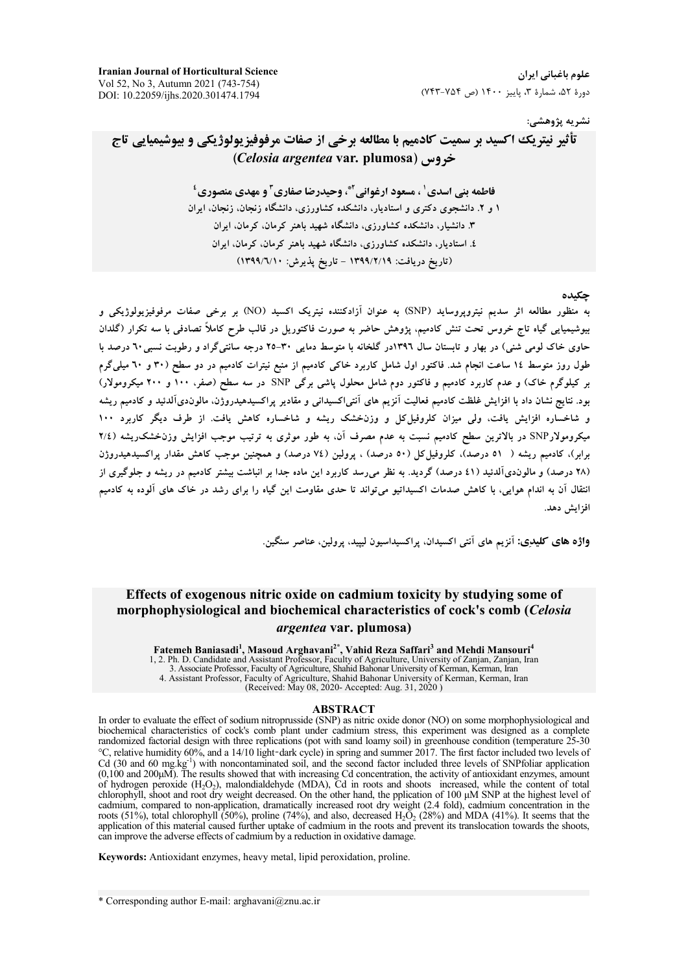**Iranian Journal of Horticultural Science** Vol 52, No 3, Autumn 2021 (743-754) DOI: 10.22059/ijhs.2020.301474.1794

علوم باغیانی ایران دورهٔ ۵۲، شمارهٔ ۳، پاییز ۱۴۰۰ (ص ۷۴۴-۷۴۳)

### نشريه پژوهشي:

# تأثير نيتريك اكسيد بر سميت كادميم با مطالعه برخي از صفات مرفوفيزيولوژيكي و بيوشيميايي تاج (Celosia argentea var. plumosa)

فاطمه بني اسدي' ، مسعود ارغواني آ\*، وحيدرضا صفاري آ و مهدي منصوري ' ۱ و ۲. دانشجوی دکتری و استادیار، دانشکده کشاورزی، دانشگاه زنجان، زنجان، ایران ۳. دانشیار، دانشکده کشاورزی، دانشگاه شهید باهنر کرمان، کرمان، ایران ٤. استادیار، دانشکده کشاورزی، دانشگاه شهید باهنر کرمان، کرمان، ایران (تاريخ دريافت: ١٣٩٩/٢/١٩ - تاريخ يذيرش: ١٣٩٩/٦/١٠)

#### حكىدە

به منظور مطالعه اثر سدیم نیتروپروساید (SNP) به عنوان آزادکننده نیتریک اکسید (NO) بر برخی صفات مرفوفیزیولوژیکی و بیوشیمیایی گیاه تاج خروس تحت تنش کادمیم، پژوهش حاضر به صورت فاکتوریل در قالب طرح کاملاً تصادفی با سه تکرار (گلدان حاوی خاک لومی شنی) در بهار و تابستان سال ۱۳۹۲در گلخانه با متوسط دمایی ۳۰-۲۵ درجه سانتی گراد و رطوبت نسبی ٦٠ درصد با طول روز متوسط ۱۶ ساعت انجام شد. فاکتور اول شامل کاربرد خاکی کادمیم از منبع نیترات کادمیم در دو سطح (۳۰ و ۲۰ میلیگرم بر کیلوگرم خاک) و عدم کاربرد کادمیم و فاکتور دوم شامل محلول پاشی برگی SNP در سه سطح (صفر، ۱۰۰ و ۲۰۰ میکرومولار) بود. نتایج نشان داد با افزایش غلظت کادمیم فعالیت آنزیم های آنتی/کسیدانی و مقادیر پراکسیدهیدروژن، مالوندیآلدئید و کادمیم ریشه و شاخساره افزایش یافت، ولی میزان کلروفیل کل و وزنخشک ریشه و شاخساره کاهش یافت. از طرف دیگر کاربرد ۱۰۰ میکرومولارSNP در بالاترین سطح کادمیم نسبت به عدم مصرف آن. به طور موثری به ترتیب موجب افزایش وزنخشک ریشه ( ۲/٤ برابر)، کادمیم ریشه ( ٥١ درصد)، کلروفیلکل (٥٠ درصد) ، پرولین (٧٤ درصد) و همچنین موجب کاهش مقدار پراکسیدهیدروژن (۲۸ درصد) و مالوندیآلدئید (٤١ درصد) گردید. به نظر میرسد کاربرد این ماده جدا بر انباشت بیشتر کادمیم در ریشه و جلوگیری از انتقال آن به اندام هوایی، با کاهش صدمات اکسیداتیو میتواند تا حدی مقاومت این گیاه را برای رشد در خاک های آلوده به کادمیم افزايش دهد.

واژه های کلیدِی: اَنزیم های اَنتی اکسیدان، پراکسیداسیون لییید، برولین، عناصر سنگین

## Effects of exogenous nitric oxide on cadmium toxicity by studying some of morphophysiological and biochemical characteristics of cock's comb (Celosia *argentea* var. plumosa)

Fatemeh Baniasadi<sup>1</sup>, Masoud Arghavani<sup>2\*</sup>, Vahid Reza Saffari<sup>3</sup> and Mehdi Mansouri<sup>4</sup><br>1, 2. Ph. D. Candidate and Assistant Professor, Faculty of Agriculture, University of Zanjan, Zanjan, Iran<br>3. Associate Professor, Fac (Received: May 08, 2020- Accepted: Aug. 31, 2020)

#### **ABSTRACT**

In order to evaluate the effect of sodium nitroprusside (SNP) as nitric oxide donor (NO) on some morphophysiological and biochemical characteristics of cock's comb plant under cadmium stress, this experiment was designed as a complete randomized factorial design with three replications (pot with sand loamy soil) in greenhouse condition (temperature 25-30 °C, relative humidity 60%, and a 14/10 light-dark cycle) in spring and summer 2017. The first factor included two levels of Cd (30 and 60 mg.kg<sup>-1</sup>) with noncontaminated soil, and the second factor included three levels of SNPfoliar application  $(0,100)$  and  $200 \mu \overline{\mathrm{M}}$ . The results showed that with increasing Cd concentration, the activity of antioxidant enzymes, amount of hydrogen peroxide  $(H_2O_2)$ , malondialdehyde (MDA), Cd in roots and shoots increased, while the content of total chorophyll, shoot and root dry weight decreased. On the other hand, the pplication of 100  $\mu$ M SNP at the highest level of cadmium, compared to non-application, dramatically increased root dry weight (2.4 fold), cadmium application of this material caused further uptake of cadmium in the roots and prevent its translocation towards the shoots, can improve the adverse effects of cadmium by a reduction in oxidative damage.

Keywords: Antioxidant enzymes, heavy metal, lipid peroxidation, proline.

\* Corresponding author E-mail: arghavani@znu.ac.ir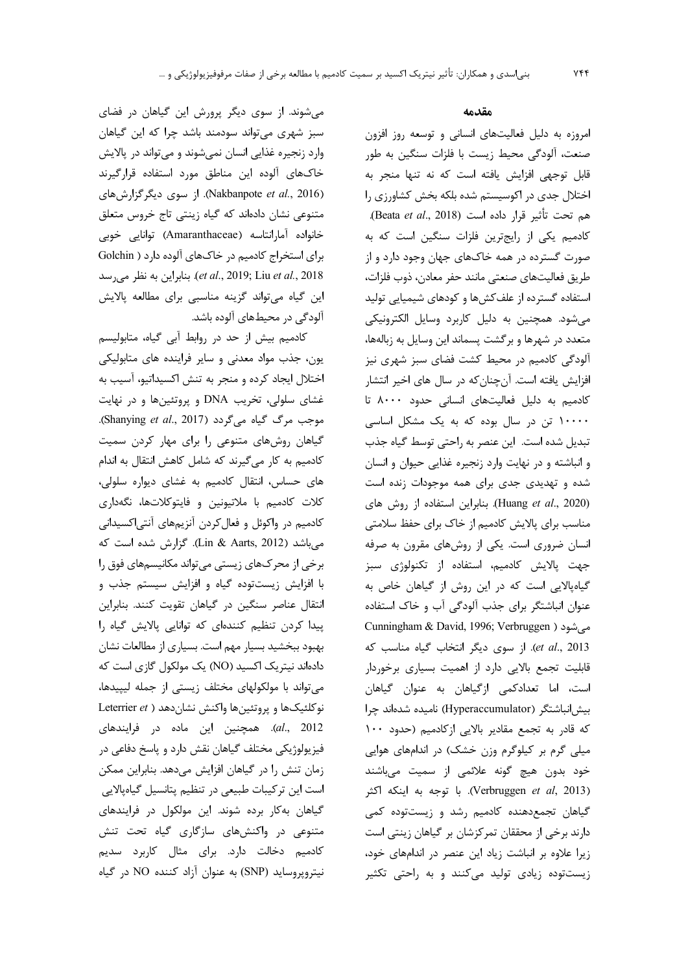می شوند. از سوی دیگر پرورش این گیاهان در فضای سبز شهری می تواند سودمند باشد چرا که این گیاهان وارد زنجیره غذایی انسان نمیشوند و میتواند در پالایش خاکهای آلوده این مناطق مورد استفاده قرارگیرند (Nakbanpote et al., 2016). از سوی دیگرگزارشهای متنوعی نشان دادهاند که گیاه زینتی تاج خروس متعلق خانواده آمارانتاسه (Amaranthaceae) توانایی خوبی برای استخراج کادمیم در خاکهای آلوده دارد ( Golchin بنابراين به نظر مى رسد *(et al.,* 2019; Liu *et al.,* 2018 این گیاه می تواند گزینه مناسبی برای مطالعه پالایش آلودگی در محیطهای آلوده باشد.

كادميم بيش از حد در روابط أبي گياه، متابوليسم یون، جذب مواد معدنی و سایر فراینده های متابولیکی اختلال ایجاد کرده و منجر به تنش اکسیداتیو، آسیب به غشای سلولی، تخریب DNA و پروتئینها و در نهایت موجب مرگ گیاه میگردد (Shanying et al., 2017). گیاهان روشهای متنوعی را برای مهار کردن سمیت کادمیم به کار میگیرند که شامل کاهش انتقال به اندام های حساس، انتقال کادمیم به غشای دیواره سلولی، کلات کادمیم با ملاتیونین و فایتوکلاتها، نگهداری کادمیم در واکوئل و فعال کردن آنزیمهای آنتی|کسیدانی میباشد (Lin & Aarts, 2012). گزارش شده است که برخی از محرکهای زیستی میتواند مکانیسمهای فوق را با افزایش زیستتوده گیاه و افزایش سیستم جذب و انتقال عناصر سنگین در گیاهان تقویت کنند. بنابراین ییدا کردن تنظیم کنندهای که توانایی پالایش گیاه را بهبود ببخشید بسیار مهم است. بسیاری از مطالعات نشان دادهاند نیتریک اکسید (NO) یک مولکول گازی است که می تواند با مولکولهای مختلف زیستی از جمله لیپیدها، نوكلئيكها و پروتئينها واكنش نشان دهد ( Leterrier et al., 2012). همچنین این ماده در فرایندهای فیزیولوژیکی مختلف گیاهان نقش دارد و پاسخ دفاعی در زمان تنش را در گیاهان افزایش میدهد. بنابراین ممکن است این ترکیبات طبیعی در تنظیم پتانسیل گیاهپالایی گیاهان به کار برده شوند. این مولکول در فرایندهای متنوعی در واکنشهای سازگاری گیاه تحت تنش کادمیم دخالت دارد. برای مثال کاربرد سدیم نيتروپروسايد (SNP) به عنوان آزاد كننده NO در گياه

#### مقدمه

امروزه به دلیل فعالیتهای انسانی و توسعه روز افزون صنعت، آلودگی محیط زیست با فلزات سنگین به طور قابل توجهی افزایش یافته است که نه تنها منجر به اختلال جدی در اکوسیستم شده بلکه بخش کشاورزی را هم تحت تأثير قرار داده است (Beata et al., 2018). کادمیم یکی از رایجترین فلزات سنگین است که به صورت گسترده در همه خاکهای جهان وجود دارد و از طريق فعاليتهاى صنعتى مانند حفر معادن، ذوب فلزات، استفاده گسترده از علفکشها و کودهای شیمیایی تولید می شود. همچنین به دلیل کاربرد وسایل الکترونیکی متعدد در شهرها و برگشت پسماند این وسایل به زبالهها، آلودگی کادمیم در محیط کشت فضای سبز شهری نیز افزایش یافته است. آنچنان که در سال های اخیر انتشار کادمیم به دلیل فعالیتهای انسانی حدود ۸۰۰۰ تا ۱۰۰۰۰ تن در سال بوده که به یک مشکل اساسی تبدیل شده است. این عنصر به راحتی توسط گیاه جذب و انباشته و در نهایت وارد زنجیره غذایی حیوان و انسان شده و تهدیدی جدی برای همه موجودات زنده است (Huang et al., 2020). بنابراین استفاده از روش های مناسب برای پالایش کادمیم از خاک برای حفظ سلامتی انسان ضروری است. یکی از روشهای مقرون به صرفه جهت پالایش کادمیم، استفاده از تکنولوژی سبز گیاهپالایی است که در این روش از گیاهان خاص به عنوان انباشتگر برای جذب آلودگی آب و خاک استفاده Cunningham & David, 1996; Verbruggen ) می شود et al., 2013). از سوی دیگر انتخاب گیاه مناسب که قابلیت تجمع بالایی دارد از اهمیت بسیاری برخوردار است، اما تعدادکمی ازگیاهان به عنوان گیاهان بیش انباشتگر (Hyperaccumulator) نامیده شدهاند چرا که قادر به تجمع مقادیر بالایی ازکادمیم (حدود ١٠٠ میلی گرم بر کیلوگرم وزن خشک) در اندامهای هوایی خود بدون هيچ گونه علائمي از سميت ميباشند (Verbruggen et al, 2013). با توجه به اینکه اکثر گیاهان تجمعدهنده کادمیم رشد و زیستتوده کمی دارند برخی از محققان تمرکزشان بر گیاهان زینتی است زیرا علاوه بر انباشت زیاد این عنصر در اندامهای خود، زیستتوده زیادی تولید میکنند و به راحتی تکثیر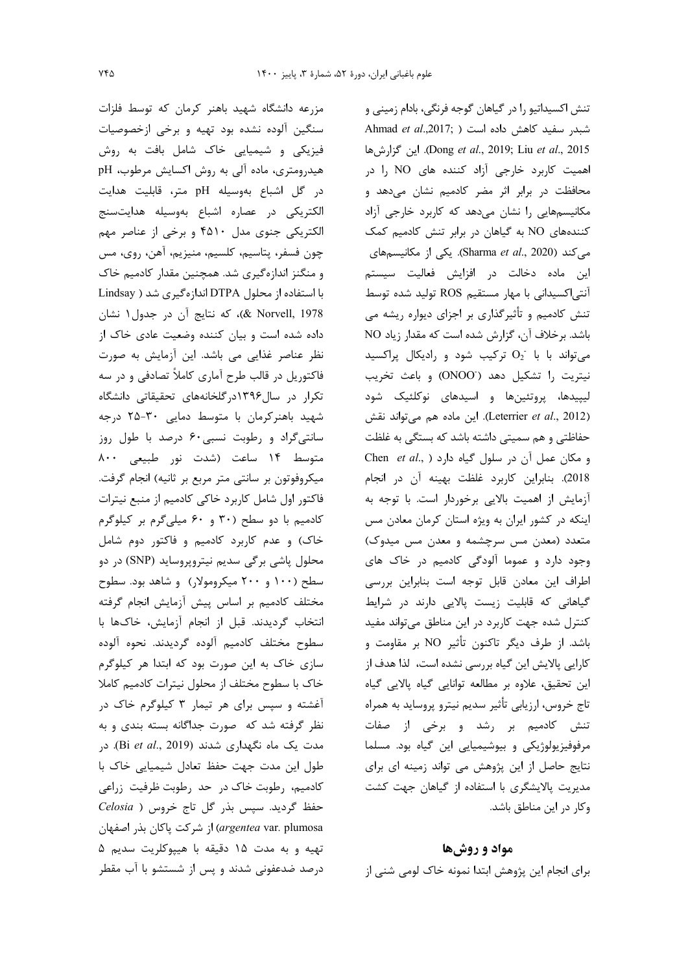مزرعه دانشگاه شهید باهنر کرمان که توسط فلزات سنگین آلوده نشده بود تهیه و برخی ازخصوصیات فیزیکی و شیمیایی خاک شامل بافت به روش هیدرومتری، ماده آلی به روش اکسایش مرطوب، pH در گل اشباع بهوسیله pH متر، قابلیت هدایت الكتريكي در عصاره اشباع بهوسيله هدايتسنج الکتریکی جنوی مدل ۴۵۱۰ و برخی از عناصر مهم چون فسفر، پتاسیم، کلسیم، منیزیم، آهن، روی، مس و منگنز اندازهگیری شد. همچنین مقدار کادمیم خاک با استفاده از محلول DTPA اندازهگیری شد ( Lindsay & Norvell, 1978)، كه نتايج أن در جدول ۱ نشان داده شده است و بیان کننده وضعیت عادی خاک از نظر عناصر غذایی می باشد. این آزمایش به صورت فاکتوریل در قالب طرح آماری کاملاً تصادفی و در سه تکرار در سال۱۳۹۶درگلخانههای تحقیقاتی دانشگاه شهید باهنر کرمان با متوسط دمایی ۳۰-۲۵ درجه سانتیگراد و رطوبت نسبی ۶۰ درصد با طول روز متوسط ١۴ ساعت (شدت نور طبیعی ٨٠٠ میکروفوتون بر سانتی متر مربع بر ثانیه) انجام گرفت. فاكتور اول شامل كاربرد خاكي كادميم از منبع نيترات کادمیم با دو سطح (۳۰ و ۶۰ میلی گرم بر کیلوگرم خاک) و عدم کاربرد کادمیم و فاکتور دوم شامل محلول پاشی برگی سدیم نیتروپروساید (SNP) در دو سطح (۱۰۰ و ۲۰۰ میکرومولار) و شاهد بود. سطوح مختلف كادميم بر اساس پيش آزمايش انجام گرفته انتخاب گرديدند. قبل از انجام آزمايش، خاکها با سطوح مختلف كادميم ألوده گرديدند. نحوه ألوده سازی خاک به این صورت بود که ابتدا هر کیلوگرم خاک با سطوح مختلف از محلول نیترات کادمیم کاملا آغشته و سپس برای هر تیمار ۳ کیلوگرم خاک در نظر گرفته شد که صورت جداگانه بسته بندی و به مدت یک ماه نگهداری شدند (Bi et al., 2019). در طول این مدت جهت حفظ تعادل شیمیایی خاک با کادمیم، رطوبت خاک در حد رطوبت ظرفیت زراعی حفظ گردید. سپس بذر گل تاج خروس ( Celosia argentea var. plumosa) از شركت پاكان بذر اصفهان تهيه و به مدت ١۵ دقيقه با هيپوكلريت سديم ۵ درصد ضدعفونی شدند و پس از شستشو با آب مقطر

تنش اکسیداتیو را در گیاهان گوجه فرنگی، بادام زمینی و شبدر سفید کاهش داده است ( Ahmad et al.,2017; ) Dong et al., 2019; Liu et al., 2015). اين گزارش ها اهمیت کاربرد خارجی آزاد کننده های NO را در محافظت در برابر اثر مضر کادمیم نشان میدهد و مکانیسمهایی را نشان میدهد که کاربرد خارجی آزاد کنندههای NO به گیاهان در برابر تنش کادمیم کمک می کند (Sharma et al., 2020). یکی از مکانیسمهای این ماده دخالت در افزایش فعالیت سیستم آنتی اکسیدانی با مهار مستقیم ROS تولید شده توسط تنش کادمیم و تأثیرگذاری بر اجزای دیواره ریشه می باشد. برخلاف آن، گزارش شده است که مقدار زیاد NO می تواند با با  $O_2$  ترکیب شود و رادیکال پراکسید نيتريت را تشكيل دهد (ONOO) وباعث تخريب لیییدها، پروتئینها و اسیدهای نوکلئیک شود (Leterrier et al., 2012). این ماده هم میتواند نقش حفاظتی و هم سمیتی داشته باشد که بستگی به غلظت Chen et al., ) در سلول گیاه دارد 2018). بنابراين كاربرد غلظت بهينه آن در انجام آزمایش از اهمیت بالایی برخوردار است. با توجه به اینکه در کشور ایران به ویژه استان کرمان معادن مس متعدد (معدن مس سرچشمه و معدن مس میدوک) وجود دارد و عموما آلودگی کادمیم در خاک های اطراف این معادن قابل توجه است بنابراین بررسی گیاهانی که قابلیت زیست پالایی دارند در شرایط کنترل شده جهت کاربرد در این مناطق میتواند مفید باشد. از طرف دیگر تاکنون تأثیر NO بر مقاومت و کارایی پالایش این گیاه بررسی نشده است، لذا هدف از این تحقیق، علاوه بر مطالعه توانایی گیاه پالایی گیاه تاج خروس، ارزیابی تأثیر سدیم نیترو پروساید به همراه تنش کادمیم بر رشد و برخی از صفات مرفوفیزیولوژیکی و بیوشیمیایی این گیاه بود. مسلما نتایج حاصل از این پژوهش می تواند زمینه ای برای مدیریت پالایشگری با استفاده از گیاهان جهت کشت وكار در اين مناطق باشد.

#### مواد و روشها

برای انجام این پژوهش ابتدا نمونه خاک لومی شنی از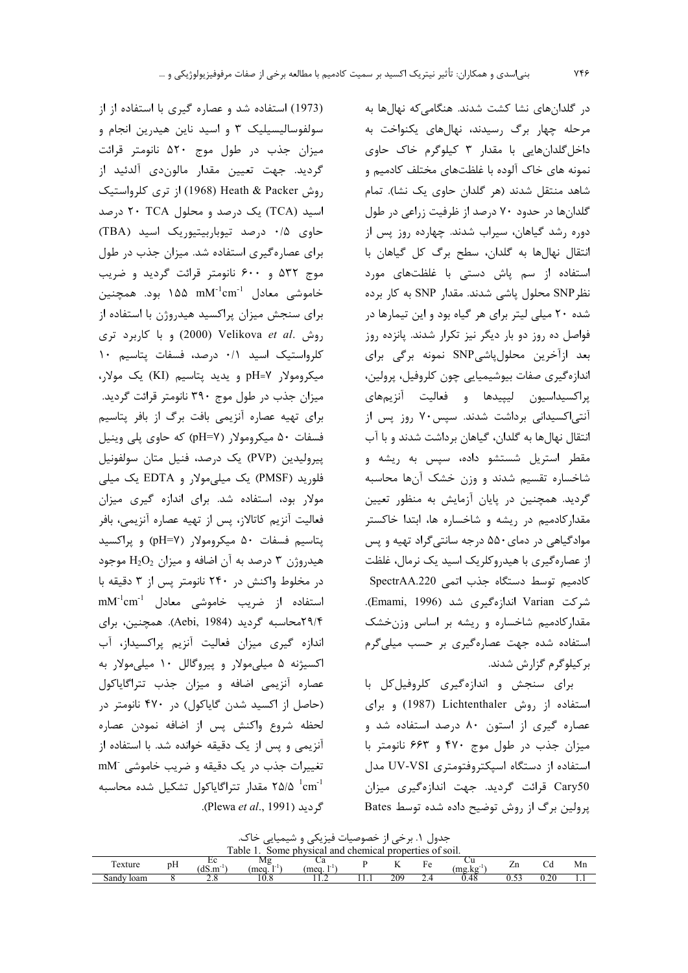(1973) استفاده شد و عصاره گیری با استفاده از از سولفوسالیسیلیک ۳ و اسید ناین هیدرین انجام و میزان جذب در طول موج ۵۲۰ نانومتر قرائت گردید. جهت تعیین مقدار مالوندی آلدئید از روش Heath & Packer (1968) از ترى كلرواستيك اسید (TCA) یک درصد و محلول ۲۰ TCA درصد حاوی ۰/۵ درصد تیوباربیتیوریک اسید (TBA) برای عصارهگیری استفاده شد. میزان جذب در طول موج ۵۳۲ و ۶۰۰ نانومتر قرائت گردید و ضریب خاموشی معادل  $\mathrm{mM}^{\text{-1}}$ cm ۱۵۵ بود. همچنین برای سنجش میزان پراکسید هیدروژن با استفاده از روش .Velikova et al (2000) وبا كاربرد ترى كلرواستيك اسيد ٠/١ درصد، فسفات پتاسيم ١٠ میکرومولار pH=۷ و یدید پتاسیم (KI) یک مولار، میزان جذب در طول موج ۳۹۰ نانومتر قرائت گردید. برای تهیه عصاره آنزیمی بافت برگ از بافر پتاسیم فسفات ۵۰ میکرومولار (pH=۷) که حاوی پلی وینیل پیرولیدین (PVP) یک درصد، فنیل متان سولفونیل فلورید (PMSF) یک میلی مولار و EDTA یک میلی مولار بود، استفاده شد. برای اندازه گیری میزان فعاليت آنزيم كاتالاز، پس از تهيه عصاره آنزيمي، بافر يتاسيم فسفات ۵۰ ميكرومولار (pH=۷) و براكسيد هیدروژن ۳ درصد به آن اضافه و میزان  $\mathrm{H_{2}O_{2}}$  موجود در مخلوط واكنش در ۲۴۰ نانومتر پس از ۳ دقیقه با  $mM^{-1}cm^{-1}$  استفاده از ضریب خاموشی معادل ۲۹/۴محاسبه گردید (Aebi, 1984). همچنین، برای اندازه گیری میزان فعالیت آنزیم پراکسیداز، آب اکسیژنه ۵ میلیمولار و پیروگالل ۱۰ میلیمولار به عصاره آنزیمی اضافه و میزان جذب تتراگایاکول (حاصل از اکسید شدن گایاکول) در ۴۷۰ نانومتر در لحظه شروع واكنش پس از اضافه نمودن عصاره آنزیمی و پس از یک دقیقه خوانده شد. با استفاده از تغييرات جذب دريك دقيقه وضريب خاموشى mM د ۲۵/۵<sup>-۱</sup>cm<sup>-1</sup> مقدار تتراگایاکول تشکیل شده محاسبه گردید (Plewa *et al.*, 1991).

در گلدانهای نشا کشت شدند. هنگامی که نهالها به مرحله چهار برگ رسیدند، نهالهای یکنواخت به داخل گلدانهایی با مقدار ۳ کیلوگرم خاک حاوی نمونه های خاک آلوده با غلظتهای مختلف کادمیم و شاهد منتقل شدند (هر گلدان حاوی یک نشا). تمام گلدانها در حدود ۷۰ درصد از ظرفیت زراعی در طول دوره رشد گیاهان، سیراب شدند. چهارده روز پس از انتقال نهالها به گلدان، سطح برگ کل گیاهان با استفاده از سم پاش دستی با غلظتهای مورد نظر SNP محلول پاشی شدند. مقدار SNP به کار برده شده ۲۰ میلی لیتر برای هر گیاه بود و این تیمارها در فواصل ده روز دو بار دیگر نیز تکرار شدند. پانزده روز بعد ازآخرین محلولپاشیSNP نمونه برگی برای اندازهگیری صفات بیوشیمیایی چون کلروفیل، پرولین، پراکسیداسیون لیپیدها و فعالیت آنزیمهای آنتی|کسیدانی برداشت شدند. سپس۲۰ روز پس از انتقال نهالها به گلدان، گیاهان برداشت شدند و با آب مقطر استریل شستشو داده، سپس به ریشه و شاخساره تقسیم شدند و وزن خشک آنها محاسبه گردید. همچنین در پایان آزمایش به منظور تعیین مقدار کادمیم در ریشه و شاخساره ها، ابتدا خاکستر موادگیاهی در دمای۵۵۰ درجه سانتی گراد تهیه و پس از عصارهگیری با هیدروکلریک اسید یک نرمال، غلظت كادميم توسط دستگاه جذب اتمى SpectrAA.220 شركت Varian اندازهگيري شد (Emami, 1996). مقدار کادمیم شاخساره و ریشه بر اساس وزنخشک استفاده شده جهت عصارهگیری بر حسب میلیگرم بر کیلوگرم گزارش شدند.

برای سنجش و اندازهگیری کلروفیل کل با استفاده از روش Lichtenthaler (1987) وبرای عصاره گیری از استون ۸۰ درصد استفاده شد و میزان جذب در طول موج ۴۷۰ و ۶۶۳ نانومتر با استفاده از دستگاه اسیکتروفتومتری UV-VSI مدل Cary50 قرائت گردید. جهت اندازهگیری میزان پرولین برگ از روش توضیح داده شده توسط Bates

جدول ۱. برخی از خصوصیات فیزیکی و شیمیایی خاک.

| . .<br>`able<br>and<br>I properties<br>nhysical<br>chemical<br>of soil.<br>some |           |                             |              |              |   |        |     |              |      |            |    |
|---------------------------------------------------------------------------------|-----------|-----------------------------|--------------|--------------|---|--------|-----|--------------|------|------------|----|
| exture                                                                          | v v<br>pН | ∸<br>1 <sup>2</sup><br>dS.m | M٤<br>mea. 1 | Ca<br>mea. 1 |   | <br>-- | ⊥ ∪ | ◡u<br>.mg.kg | 21 I | ◡ч         | Мn |
| Sandy<br>loam                                                                   |           | <u>. . u</u>                | 1 V.O        | .            | . | 209    | ∠.⊣ | U.46         | ບ.∟  | ,,<br>U.∠U | .  |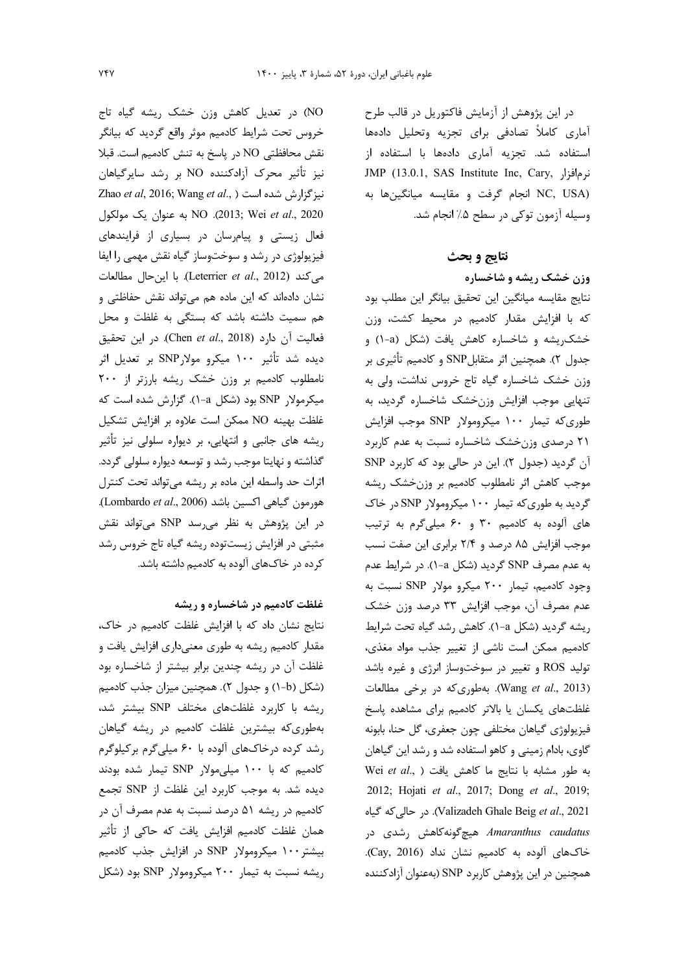در این پژوهش از آزمایش فاکتوریل در قالب طرح آماری کاملاً تصادفی برای تجزیه وتحلیل دادهها استفاده شد. تجزیه آماری دادهها با استفاده از JMP (13.0.1, SAS Institute Inc, Cary, نرمافزا, NC, USA) انجام گرفت و مقايسه ميانگينها به وسیله آزمون توکی در سطح ۵٪ انجام شد.

### نتايج و بحث

وزن خشک ریشه و شاخساره نتايج مقايسه ميانگين اين تحقيق بيانگر اين مطلب بود كه با افزايش مقدار كادميم در محيط كشت، وزن خشک پشه و شاخساره کاهش یافت (شکل (a-۱) و جدول ۲). همچنین اثر متقابلSNP و کادمیم تأثیری بر وزن خشک شاخساره گیاه تاج خروس نداشت، ولی به تنهایی موجب افزایش وزنخشک شاخساره گردید، به طوری که تیمار ۱۰۰ میکرومولار SNP موجب افزایش ۲۱ درصدی وزنخشک شاخساره نسبت به عدم کاربرد آن گردید (جدول ۲). این در حالی بود که کاربرد SNP موجب كاهش اثر نامطلوب كادميم بر وزنخشك ريشه گردید به طوری که تیمار ۱۰۰ میکرومولار SNP در خاک های آلوده به کادمیم ۳۰ و ۶۰ میلیگرم به ترتیب موجب افزایش ۸۵ درصد و ۲/۴ برابری این صفت نسب به عدم مصرف SNP گردید (شکل a-۱). در شرایط عدم وجود كادميم، تيمار ٢٠٠ ميكرو مولار SNP نسبت به عدم مصرف آن، موجب افزايش ٣٣ درصد وزن خشک ریشه گردید (شکل a-۱). کاهش رشد گیاه تحت شرایط كادميم ممكن است ناشى از تغيير جذب مواد مغذى، تولید ROS و تغییر در سوختوساز انرژی و غیره باشد (Wang et al., 2013). بهطوری که در برخی مطالعات غلظتهای یکسان یا بالاتر کادمیم برای مشاهده پاسخ فيزيولوژي گياهان مختلفي چون جعفري، گل حنا، بابونه گاوی، بادام زمینی و کاهو استفاده شد و رشد این گیاهان Wei et al., ) لحاهش يافت ( Wei et al., ) 2012; Hojati et al., 2017; Dong et al., 2019; Valizadeh Ghale Beig et al., 2021). در حالی که گیاه *Amaranthus caudatus* هیچگونهکاهش رشدی در خاکهای آلوده به کادمیم نشان نداد (Cay, 2016). همچنین در این پژوهش کاربرد SNP (بهعنوان آزادکننده

NO) در تعدیل کاهش وزن خشک ریشه گیاه تاج خروس تحت شرایط کادمیم موثر واقع گردید که بیانگر نقش محافظتی NO در پاسخ به تنش كادميم است. قبلا نيز تأثير محرك آزادكننده NO بر رشد سايرگياهان Zhao et al, 2016; Wang et al., ) نيز گزارش شده است NO .(2013; Wei et al., 2020. به عنوان يک مولکول فعال زیستی و پیامرسان در بسیاری از فرایندهای فیزیولوژی در رشد و سوختوساز گیاه نقش مهمی را ایفا مي كند (Leterrier et al., 2012). با اين حال مطالعات نشان دادهاند که این ماده هم می تواند نقش حفاظتی و هم سمیت داشته باشد که بستگی به غلظت و محل فعاليت آن دارد (Chen et al., 2018). در اين تحقيق دیده شد تأثیر ۱۰۰ میکرو مولارSNP بر تعدیل اثر نامطلوب كادميم بر وزن خشك ريشه بارزتر از ٢٠٠ میکرمولا, SNP بود (شکل a-۱). گزارش شده است که غلظت بهينه NO ممكن است علاوه بر افزايش تشكيل ریشه های جانبی و انتهایی، بر دیواره سلولی نیز تأثیر گذاشته و نهایتا موجب رشد و توسعه دیواره سلولی گردد. اثرات حد واسطه این ماده بر ریشه میتواند تحت کنترل .(Lombardo et al., 2006) اکسین باشد. در این پژوهش به نظر می رسد SNP می تواند نقش مثبتی در افزایش زیستتوده ریشه گیاه تاج خروس رشد کرده در خاکهای آلوده به کادمیم داشته باشد.

### غلظت کادمیم در شاخساره و ریشه

نتايج نشان داد كه با افزايش غلظت كادميم در خاك، مقدار کادمیم ریشه به طوری معنیداری افزایش یافت و غلظت آن در ریشه چندین برابر بیشتر از شاخساره بود (شکل (b-۱) و جدول ۲). همچنین میزان جذب کادمیم ریشه با کاربرد غلظتهای مختلف SNP بیشتر شد، بهطوریکه بیشترین غلظت کادمیم در ریشه گیاهان رشد کرده درخاکهای آلوده با ۶۰ میلیگرم برکیلوگرم کادمیم که با ۱۰۰ میل<sub>ی</sub>مولا<sub>د</sub> SNP تیمار شده بودند دیده شد. به موجب کاربرد این غلظت از SNP تجمع كادميم در ريشه ۵۱ درصد نسبت به عدم مصرف آن در همان غلظت کادمیم افزایش یافت که حاکی از تأثیر بیشتر ۱۰۰ میکرومولار SNP در افزایش جذب کادمیم ریشه نسبت به تیمار ۲۰۰ میکرومولار SNP بود (شکل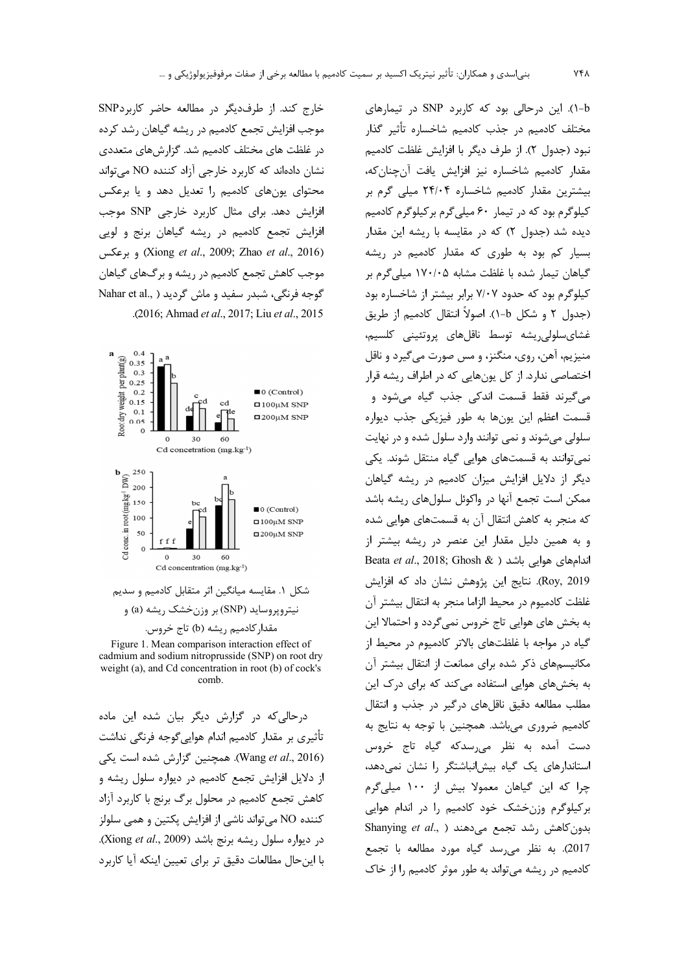خارج كند. از طرف ديگر در مطالعه حاضر كاربردSNP موجب افزایش تجمع کادمیم در ریشه گیاهان رشد کرده در غلظت های مختلف کادمیم شد. گزارشهای متعددی نشان دادهاند که کاربرد خارجی آزاد کننده NO می تواند محتوای یونهای کادمیم را تعدیل دهد و یا برعکس افزایش دهد. برای مثال کاربرد خارجی SNP موجب افزایش تجمع کادمیم در ریشه گیاهان برنج و لویی (Xiong et al., 2009; Zhao et al., 2016) وبوعكس موجب کاهش تجمع کادمیم در ریشه و برگ&ای گیاهان گوجه فرنگی، شبدر سفید و ماش گردید ( ,Nahar et al .(2016; Ahmad et al., 2017; Liu et al., 2015).



شکل ۱. مقایسه میانگین اثر متقابل کادمیم و سدیم نیتروپروساید (SNP) بر وزن خشک ریشه (a) و مقدار کادمیم ریشه (b) تاج خروس.

Figure 1. Mean comparison interaction effect of cadmium and sodium nitroprusside (SNP) on root dry weight (a), and Cd concentration in root (b) of cock's comb.

درحالی که در گزارش دیگر بیان شده این ماده تأثیری بر مقدار کادمیم اندام هواییگوجه فرنگی نداشت (Wang et al., 2016). همچنین گزارش شده است یکی از دلایل افزایش تجمع کادمیم در دیواره سلول ریشه و كاهش تجمع كادميم در محلول برگ برنج با كاربرد آزاد كننده NO مي تواند ناشي از افزايش يكتين و همي سلولز در ديواره سلول ريشه برنج باشد (Xiong et al., 2009). با این حال مطالعات دقیق تر برای تعیین اینکه آیا کاربرد

-(۱). این درحالی بود که کاربرد SNP در تیمارهای مختلف كادميم در جذب كادميم شاخساره تأثير گذار نبود (جدول ٢). از طرف ديگر با افزايش غلظت كادميم مقدار كادميم شاخساره نيز افزايش يافت آنچنانكه، بیشترین مقدار کادمیم شاخساره ۲۴/۰۴ میلی گرم بر کیلوگرم بود که در تیمار ۶۰ میلی گرم بر کیلوگرم کادمیم دیده شد (جدول ۲) که در مقایسه با ریشه این مقدار بسیار کم بود به طوری که مقدار کادمیم در ریشه گیاهان تیمار شده با غلظت مشابه ۱۷۰/۰۵ میلی گرم بر کیلوگرم بود که حدود ۷/۰۷ برابر بیشتر از شاخساره بود (جدول ۲ و شکل b-۱). اصولاً انتقال کادمیم از طریق غشای سلولی ریشه توسط ناقل های پروتئینی کلسیم، منيزيم، آهن، روي، منگنز، و مس صورت مي گيرد و ناقل اختصاصی ندارد. از کل یونهایی که در اطراف ریشه قرار می گیرند فقط قسمت اندکی جذب گیاه میشود و قسمت اعظم اين يونها به طور فيزيكي جذب ديواره سلولي مي شوند و نمي توانند وارد سلول شده و در نهايت نمی توانند به قسمتهای هوایی گیاه منتقل شوند. یکی دیگر از دلایل افزایش میزان کادمیم در ریشه گیاهان ممکن است تجمع آنها در واکوئل سلولهای ریشه باشد که منجر به کاهش انتقال آن به قسمتهای هوایی شده و به همین دلیل مقدار این عنصر در ریشه بیشتر از Beata et al., 2018; Ghosh & ) اندامهای هوایی باشد Roy, 2019). نتايج اين پژوهش نشان داد كه افزايش غلظت كادميوم در محيط الزاما منجر به انتقال بيشتر آن به بخش های هوایی تاج خروس نمیگردد و احتمالا این گیاه در مواجه با غلظتهای بالاتر کادمیوم در محیط از مکانیسمهای ذکر شده برای ممانعت از انتقال بیشتر آن به بخشهای هوایی استفاده می کند که برای درک این مطلب مطالعه دقیق ناقلهای درگیر در جذب و انتقال كادميم ضروري مىباشد. همچنين با توجه به نتايج به دست آمده به نظر میرسدکه گیاه تاج خروس استاندارهای یک گیاه بیش انباشتگر ,ا نشان نمی دهد، چرا که این گیاهان معمولا بیش از ۱۰۰ میلیگرم برکیلوگرم وزن خشک خود کادمیم را در اندام هوایی Shanying et al., ) بدون كاهش رشد تجمع مى دهند 2017). به نظر می رسد گیاه مورد مطالعه با تجمع كادميم در ريشه مي تواند به طور موثر كادميم را از خاك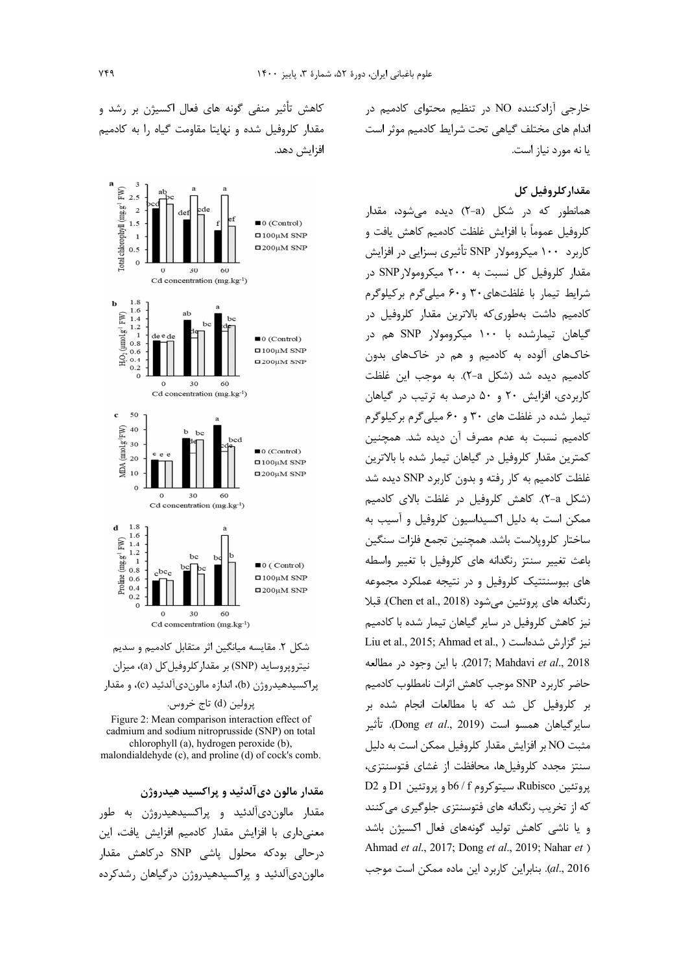## مقدار كلروفيل كل

همانطور که در شکل (X-a) دیده میشود، مقدار كلروفيل عموماً با افزايش غلظت كادميم كاهش يافت و کاربرد ۱۰۰ میکرومولار SNP تأثیری بسزایی در افزایش مقدار کلروفیل کل نسبت به ۲۰۰ میکرومولا, SNP د, شرایط تیمار با غلظتهای ۳۰ و۶۰ میلیگرم برکیلوگرم کادمیم داشت بهطوریکه بالاترین مقدار کلروفیل در گیاهان تیمارشده با ۱۰۰ میکرومولار SNP هم در خاکهای آلوده به کادمیم و هم در خاکهای بدون کادمیم دیده شد (شکل a-۲). به موجب این غلظت کاربردی، افزایش ٢٠ و ۵٠ درصد به ترتیب در گیاهان تیمار شده در غلظت های ۳۰ و ۶۰ میلی گرم بر کیلوگرم كادميم نسبت به عدم مصرف آن ديده شد. همچنين كمترين مقدار كلروفيل در گياهان تيمار شده با بالاترين غلظت کادمیم به کار رفته و بدون کاربرد SNP دیده شد (شكل a-٢). كاهش كلروفيل در غلظت بالاي كادميم ممکن است به دلیل اکسیداسیون کلروفیل و آسیب به ساختار كلرويلاست باشد. همچنين تجمع فلزات سنگين باعث تغيير سنتز رنگدانه هاى كلروفيل با تغيير واسطه های بیوسنتتیک کلروفیل و در نتیجه عملکرد مجموعه رنگدانه های پروتئین می شود (Chen et al., 2018). قبلا نیز کاهش کلروفیل در سایر گیاهان تیمار شده با کادمیم Liu et al., 2015; Ahmad et al., ) نيز گزارش شدهاست 2018). با اين وجود در مطالعه حاضر كاربرد SNP موجب كاهش اثرات نامطلوب كادميم بر کلروفیل کل شد که با مطالعات انجام شده بر سايرگياهان همسو است (Dong *et al*., 2019). تأثير مثبت NO بر افزایش مقدار کلروفیل ممکن است به دلیل سنتز مجدد کلروفیلها، محافظت از غشای فتوسنتزی، پروتئين Rubisco، سيتوكروم b6 / f و پروتئين D1 و D2 که از تخریب رنگدانه های فتوسنتزی جلوگیری می کنند و یا ناشی کاهش تولید گونههای فعال اکسیژن باشد Ahmad et al., 2017; Dong et al., 2019; Nahar et ) al., 2016). بنابراین کاربرد این ماده ممکن است موجب

کاهش تأثیر منفی گونه های فعال اکسیژن بر رشد و مقدار کلروفیل شده و نهایتا مقاومت گیاه را به کادمیم افزايش دهد.



شکل ۲. مقایسه میانگین اثر متقابل کادمیم و سدیم نیترویروساید (SNP) بر مقدار کلروفیل کل (a)، میزان پراکسیدهیدروژن (b)، اندازه مالوندیآلدئید (c)، و مقدار پرولين (d) تاج خروس.

Figure 2: Mean comparison interaction effect of cadmium and sodium nitroprusside (SNP) on total chlorophyll (a), hydrogen peroxide (b), malondialdehyde (c), and proline (d) of cock's comb.

مقدار مالون دیآلدئید و پراکسید هیدروژن

مقدار مالون دیآلدئید و پراکسیدهیدروژن به طور معنیداری با افزایش مقدار کادمیم افزایش یافت، این درحالی بودکه محلول پاشی SNP درکاهش مقدار مالون دیآلدئید و پراکسیدهیدروژن درگیاهان رشدکرده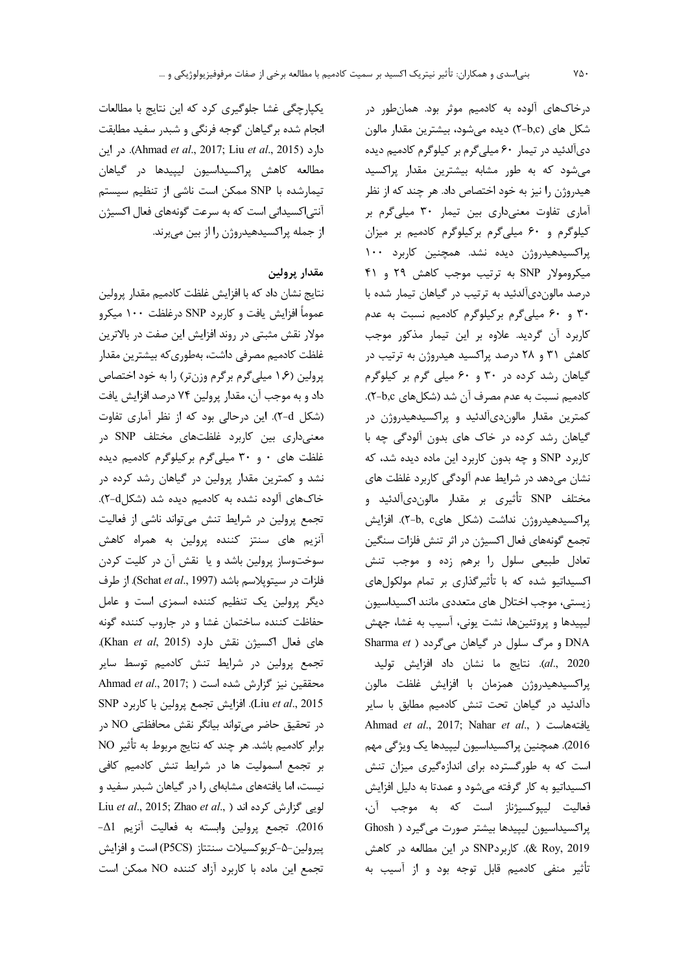یکپارچگی غشا جلوگیری کرد که این نتایج با مطالعات انجام شده برگیاهان گوجه فرنگی و شبدر سفید مطابقت دارد (Ahmad et al., 2017; Liu et al., 2015). در این مطالعه كاهش پراكسيداسيون ليپيدها در گياهان تیمارشده با SNP ممکن است ناشی از تنظیم سیستم آنتی|کسیدانی است که به سرعت گونههای فعال اکسیژن از جمله پراکسیدهیدروژن را از بین میبرند.

## مقدار پرولین

نتايج نشان داد كه با افزايش غلظت كادميم مقدار پرولين عموماً افزایش یافت و کاربرد SNP درغلظت ۱۰۰ میکرو مولار نقش مثبتی در روند افزایش این صفت در بالاترین غلظت كادميم مصرفي داشت، بهطوريكه بيشترين مقدار پرولین (۱٫۶ میلیگرم برگرم وزن تر) را به خود اختصاص داد و به موجب آن، مقدار پرولین ۷۴ درصد افزایش یافت (شكل X-d). اين درحالي بود كه از نظر آماري تفاوت معنیداری بین کاربرد غلظتهای مختلف SNP در غلظت های ۰ و ۳۰ میلیگرم برکیلوگرم کادمیم دیده نشد و کمترین مقدار پرولین در گیاهان رشد کرده در خاکهای آلوده نشده به کادمیم دیده شد (شکل4-۲). تجمع پرولین در شرایط تنش میتواند ناشی از فعالیت آنزیم های سنتز کننده پرولین به همراه کاهش سوختوساز پرولین باشد و یا نقش آن در کلیت کردن فلزات در سيتويلاسم باشد (Schat et al., 1997). از طرف دیگر پرولین یک تنظیم کننده اسمزی است و عامل حفاظت كننده ساختمان غشا و در جاروب كننده گونه های فعال اکسیژن نقش دارد (Khan et al, 2015). تجمع پرولین در شرایط تنش کادمیم توسط سایر Ahmad et al., 2017; ) محققین نیز گزارش شده است SNP افزایش تجمع پرولین با کاربرد SNP). افزایش تجمع پرولین با کاربرد در تحقیق حاضر میتواند بیانگر نقش محافظتی NO در برابر كادميم باشد. هر چند كه نتايج مربوط به تأثير NO بر تجمع اسمولیت ها در شرایط تنش کادمیم کافی نیست، اما یافتههای مشابهای را در گیاهان شبدر سفید و Liu et al., 2015; Zhao et al., ) لویی گزارش کرده اند 2016). تجمع يرولين وابسته به فعاليت آنزيم Δ1− پیرولین−۵–کربوکسیلات سنتتاز (P5CS) است و افزایش تجمع این ماده با کاربرد آزاد کننده NO ممکن است

درخاکهای آلوده به کادمیم موثر بود. همانطور در شکل های (b,c) دیده میشود، بیشترین مقدار مالون دي آلدئيد در تيمار ۶۰ ميلي گرم بر كيلوگرم كادميم ديده می شود که به طور مشابه بیشترین مقدار پراکسید هیدروژن را نیز به خود اختصاص داد. هر چند که از نظر آماری تفاوت معنیداری بین تیمار ۳۰ میلی گرم بر کیلوگرم و ۶۰ میلیگرم برکیلوگرم کادمیم بر میزان پراکسیدهیدروژن دیده نشد. همچنین کاربرد ۱۰۰ میکرومولار SNP به ترتیب موجب کاهش ٢٩ و ۴۱ درصد مالون دیآلدئید به ترتیب در گیاهان تیمار شده با ۳۰ و ۶۰ میلیگرم برکیلوگرم کادمیم نسبت به عدم كاربرد آن گرديد. علاوه بر اين تيمار مذكور موجب کاهش ۳۱ و ۲۸ درصد پراکسید هیدروژن به ترتیب در گیاهان رشد کرده در ۳۰ و ۶۰ میلی گرم بر کیلوگرم كادميم نسبت به عدم مصرف آن شد (شكلهاى ٢-b,c). کمترین مقدار مالون دیآلدئید و پراکسیدهیدروژن در گیاهان رشد کرده در خاک های بدون آلودگی چه با کاربرد SNP و چه بدون کاربرد این ماده دیده شد، که نشان میدهد در شرایط عدم آلودگی کاربرد غلظت های مختلف SNP تأثيري بر مقدار مالونديآلدئيد و پراکسیدهیدروژن نداشت (شکل هایc-b, c). افزایش تجمع گونههای فعال اکسیژن در اثر تنش فلزات سنگین تعادل طبیعی سلول را برهم زده و موجب تنش اکسیداتیو شده که با تأثیرگذاری بر تمام مولکولهای زيستي، موجب اختلال هاي متعددي مانند اكسيداسيون لیپیدها و پروتئینها، نشت یونی، آسیب به غشا، جهش Sharma  $et$  ) و مرگ سلول در گیاهان میگردد ( Sharma  $et$ *(al.*, 2020). نتايج ما نشان داد افزايش توليد

پراکسیدهیدروژن همزمان با افزایش غلظت مالون دآلدئید در گیاهان تحت تنش کادمیم مطابق با سایر Ahmad et al., 2017; Nahar et al., ) يافتههاست 2016). همچنین پراکسیداسیون لیپیدها یک ویژگی مهم است که به طورگسترده برای اندازهگیری میزان تنش اکسیداتیو به کار گرفته میشود و عمدتا به دلیل افزایش فعاليت ليپوکسيژناز است که به موجب آن، پراکسیداسیون لیپیدها بیشتر صورت می گیرد ( Ghosh 8 (2019 & Roy, 2019). كاربرد SNP در اين مطالعه در كاهش تأثیر منفی کادمیم قابل توجه بود و از آسیب به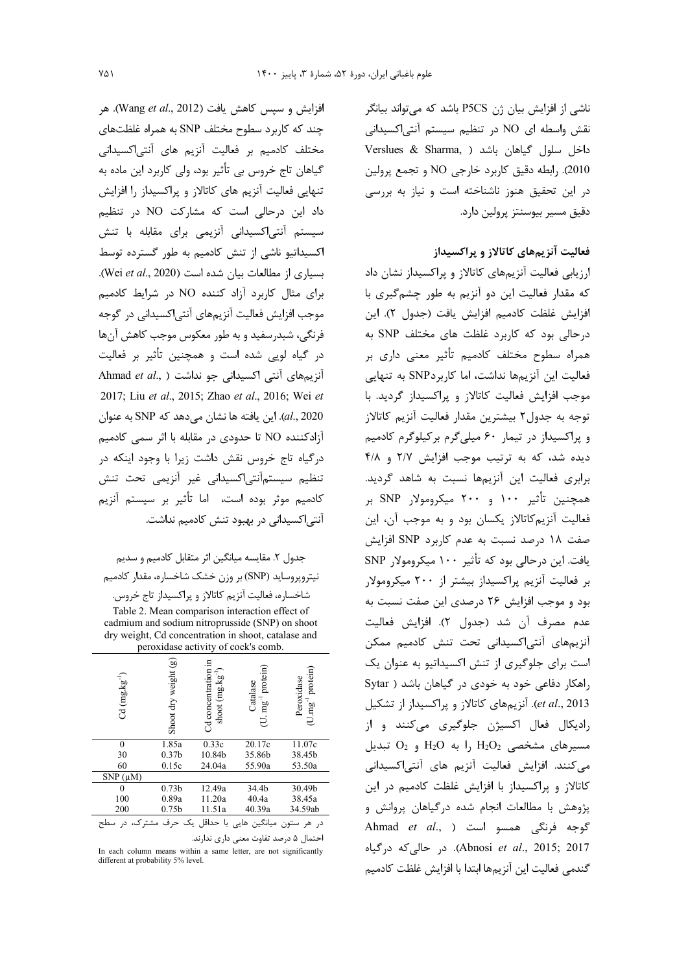ناشي از افزايش بيان ژن P5CS باشد كه مي تواند بيانگر نقش واسطه ای NO در تنظیم سیستم آنتیاکسیدانی Verslues & Sharma, ) داخل سلول گیاهان باشد 2010). رابطه دقیق کاربرد خارجی NO و تجمع پرولین در این تحقیق هنوز ناشناخته است و نیاز به بررسی دقيق مسير بيوسنتز پرولين دارد.

# فعالیت آنزیمهای کاتالاز و پراکسیداز

ارزیابی فعالیت آنزیمهای کاتالاز و پراکسیداز نشان داد که مقدار فعالیت این دو آنزیم به طور چشمگیری با افزايش غلظت كادميم افزايش يافت (جدول ٢). اين درحالی بود که کاربرد غلظت های مختلف SNP به همراه سطوح مختلف كادميم تأثير معنى دارى بر فعالیت این آنزیمها نداشت، اما کاربردSNP به تنهایی موجب افزایش فعالیت کاتالاز و پراکسیداز گردید. با توجه به جدول٢ بيشترين مقدار فعاليت آنزيم كاتالاز و پراکسیداز در تیمار ۶۰ میلی گرم بر کیلوگرم کادمیم دیده شد، که به ترتیب موجب افزایش ۲/۷ و ۴/۸ برابری فعالیت این آنزیمها نسبت به شاهد گردید. همچنین تأثیر ۱۰۰ و ۲۰۰ میکرومولار SNP بر فعالیت آنزیم کاتالاز یکسان بود و به موجب آن، این صفت ١٨ درصد نسبت به عدم كاربرد SNP افزايش يافت. اين درحالي بود كه تأثير ١٠٠ ميكرومولار SNP بر فعالیت آنزیم پراکسیداز بیشتر از ۲۰۰ میکرومولار بود و موجب افزایش ۲۶ درصدی این صفت نسبت به عدم مصرف أن شد (جدول ٢). افزايش فعاليت آنزیمهای آنتی|کسیدانی تحت تنش کادمیم ممکن است برای جلوگیری از تنش اکسیداتیو به عنوان یک راهكار دفاعي خود به خودي در گياهان باشد ( Sytar et al., 2013). آنزیمهای کاتالاز و پراکسیداز از تشکیل رادیکال فعال اکسیژن جلوگیری میکنند و از  $O_2$  مسیرهای مشخصی  $H_2O_2$  را به  $H_2O_2$  و  $O_2$  تبدیل می کنند. افزایش فعالیت آنزیم های آنتی|کسیدانی كاتالاز و پراكسيداز با افزايش غلظت كادميم در اين پژوهش با مطالعات انجام شده درگیاهان پروانش و Ahmad et al., ) المسو است (Ahmad et al., ) Abnosi et al., 2015; 2017). در حالی که درگیاه كندمى فعاليت اين آنزيمها ابتدا با افزايش غلظت كادميم

افزايش و سيس كاهش يافت (Wang et al., 2012). هر چند که کاربرد سطوح مختلف SNP به همراه غلظتهای مختلف کادمیم بر فعالیت آنزیم های آنتی|کسیدانی گیاهان تاج خروس بی تأثیر بود، ولی کاربرد این ماده به تنهایی فعالیت آنزیم های کاتالاز و پراکسیداز را افزایش داد این درحالی است که مشارکت NO در تنظیم سیستم آنتیاکسیدانی آنزیمی برای مقابله با تنش اکسیداتیو ناشی از تنش کادمیم به طور گسترده توسط بسیاری از مطالعات بیان شده است (Wei et al., 2020). برای مثال کاربرد آزاد کننده NO در شرایط کادمیم موجب افزایش فعالیت آنزیمهای آنتی|کسیدانی در گوجه فرنگی، شبدرسفید و به طور معکوس موجب کاهش آنها در گیاه لویی شده است و همچنین تأثیر بر فعالیت Ahmad et al., ) أنتي اكسيداني جو نداشت ( .Ahmad et al 2017; Liu et al., 2015; Zhao et al., 2016; Wei et al., 2020). این یافته ها نشان می دهد که SNP به عنوان آزادکننده NO تا حدودی در مقابله با اثر سمی کادمیم درگیاه تاج خروس نقش داشت زیرا با وجود اینکه در تنظيم سيستمآنتي اكسيداني غير آنزيمي تحت تنش كادميم موثر بوده است، اما تأثير بر سيستم آنزيم آنتی|کسیدانی در بهبود تنش کادمیم نداشت.

جدول ٢. مقايسه ميانگين اثر متقابل كادميم و سديم نیتروپروساید (SNP) بر وزن خشک شاخساره، مقدار کادمیم

شاخساره، فعالیت آنزیم کاتالاز و پراکسیداز تاج خروس. Table 2. Mean comparison interaction effect of cadmium and sodium nitroprusside (SNP) on shoot dry weight, Cd concentration in shoot, catalase and peroxidase activity of cock's comb.

| $Cd$ (mg.kg <sup>-1</sup> ) | ම<br>weight<br>ਰਿਨ<br>Shoot | Cd concentration in<br>shoot (mg.kg <sup>-1</sup> | protein)<br>Catalase<br>$mg^{-1}$ | protein)<br>Peroxidase<br>$(U.mg^{-1})$ |
|-----------------------------|-----------------------------|---------------------------------------------------|-----------------------------------|-----------------------------------------|
| $\theta$                    | 1.85a                       | 0.33c                                             | 20.17c                            | 11.07c                                  |
| 30                          | 0.37 <sub>b</sub>           | 10.84b                                            | 35.86b                            | 38.45b                                  |
| 60                          | 0.15c                       | 24.04a                                            | 55.90a                            | 53.50a                                  |
| $SNP(\mu M)$                |                             |                                                   |                                   |                                         |
| 0                           | 0.73 <sub>b</sub>           | 12.49a                                            | 34.4b                             | 30.49b                                  |
| 100                         | 0.89a                       | 11.20a                                            | 40.4a                             | 38.45a                                  |
| 200                         | 0.75 <sub>b</sub>           | 11.51a                                            | 40.39a                            | 34.59ab                                 |
|                             | مشتر ک،<br>حرف              | با حداقل یک                                       | يانگين<br>هایی                    | در<br>هر                                |

احتمال ۵ درصد تفاوت معنی داری ندارند.

In each column means within a same letter, are not significantly different at probability 5% level.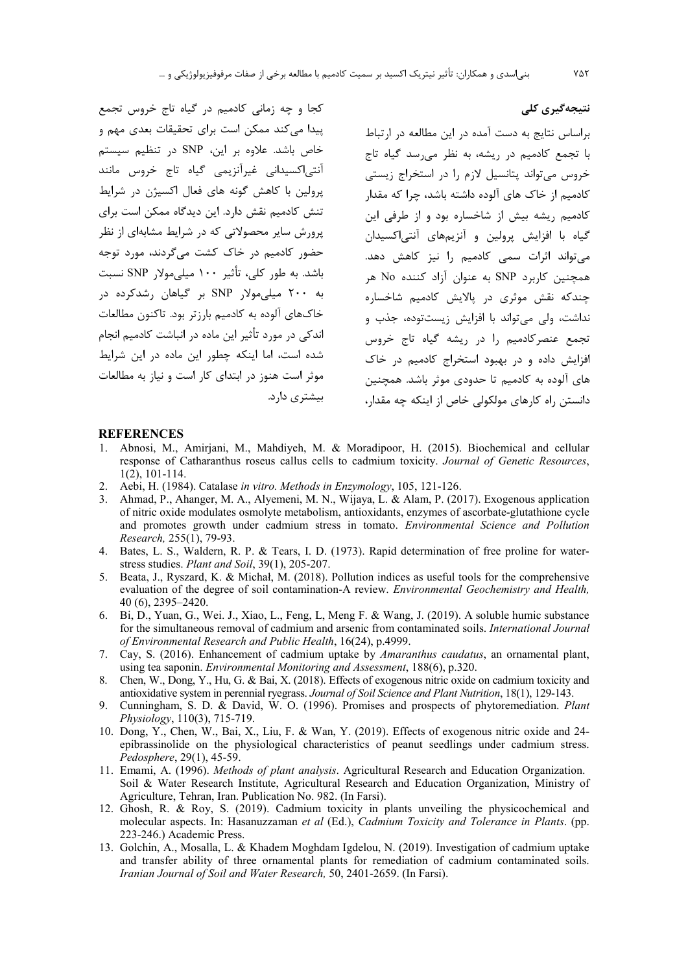کجا و چه زمانی کادمیم در گیاه تاج خروس تجمع پیدا می کند ممکن است برای تحقیقات بعدی مهم و خاص باشد. علاوه بر این، SNP در تنظیم سیستم آنتی|کسیدانی غیرآنزیمی گیاه تاج خروس مانند یرولین با کاهش گونه های فعال اکسیژن در شرایط تنش کادمیم نقش دارد. این دیدگاه ممکن است برای پرورش سایر محصولاتی که در شرایط مشابهای از نظر حضور کادمیم در خاک کشت می گردند، مورد توجه باشد. به طور کلی، تأثیر ۱۰۰ میلی مولار SNP نسبت به ۲۰۰ میلی مولار SNP بر گیاهان رشدکرده در خاکهای آلوده به کادمیم بارزتر بود. تاکنون مطالعات اندکی در مورد تأثیر این ماده در انباشت کادمیم انجام شده است، اما اینکه چطور این ماده در این شرایط موثر است هنوز در ابتدای کار است و نیاز به مطالعات بیشتری دارد.

براساس نتایج به دست آمده در این مطالعه در ارتباط با تجمع کادمیم در ریشه، به نظر می سد گیاه تاج خروس می تواند پتانسیل لازم را در استخراج زیستی کادمیم از خاک های آلوده داشته باشد، چرا که مقدار کادمیم ریشه بیش از شاخساره بود و از طرفی این گياه يا افزايش پرولين و آنزيچهاي آنتے اکسيدان می تواند اثرات سمی کادمیم را نیز کاهش دهد. همچنین کاربرد SNP به عنوان آزاد کننده No هر چندکه نقش موثری د<sub>ر</sub> پالایش کادمیم شاخساره نداشت، ولي مي تواند با افزايش زيست توده، جذب و تجمع عنصر کادمیم را در ریشه گیاه تاج خروس افزایش داده و در بهبود استخراج کادمیم در خاک های آلوده به کادمیم تا حدودی موثر باشد. همچنین دانستن راه کارهای مولکولی خاص از اینکه چه مقدار،

#### **REFERENCES**

- 1. Abnosi, M., Amirjani, M., Mahdiyeh, M. & Moradipoor, H. (2015). Biochemical and cellular response of Catharanthus roseus callus cells to cadmium toxicity. Journal of Genetic Resources,  $1(2)$ ,  $101-114$ .
- Aebi, H. (1984). Catalase in vitro. Methods in Enzymology, 105, 121-126. 2.
- 3. Ahmad, P., Ahanger, M. A., Alyemeni, M. N., Wijaya, L. & Alam, P. (2017). Exogenous application of nitric oxide modulates osmolyte metabolism, antioxidants, enzymes of ascorbate-glutathione cycle and promotes growth under cadmium stress in tomato. Environmental Science and Pollution Research, 255(1), 79-93.
- 4. Bates, L. S., Waldern, R. P. & Tears, I. D. (1973). Rapid determination of free proline for waterstress studies. Plant and Soil, 39(1), 205-207.
- 5. Beata, J., Ryszard, K. & Michał, M. (2018). Pollution indices as useful tools for the comprehensive evaluation of the degree of soil contamination-A review. Environmental Geochemistry and Health, 40 (6), 2395-2420.
- 6. Bi, D., Yuan, G., Wei. J., Xiao, L., Feng, L. Meng F. & Wang, J. (2019). A soluble humic substance for the simultaneous removal of cadmium and arsenic from contaminated soils. International Journal of Environmental Research and Public Health, 16(24), p.4999.
- 7. Cay, S. (2016). Enhancement of cadmium uptake by Amaranthus caudatus, an ornamental plant, using tea saponin. Environmental Monitoring and Assessment, 188(6), p.320.
- 8. Chen, W., Dong, Y., Hu, G. & Bai, X. (2018). Effects of exogenous nitric oxide on cadmium toxicity and antioxidative system in perennial ryegrass. Journal of Soil Science and Plant Nutrition, 18(1), 129-143.
- 9. Cunningham, S. D. & David, W. O. (1996). Promises and prospects of phytoremediation. Plant Physiology, 110(3), 715-719.
- 10. Dong, Y., Chen, W., Bai, X., Liu, F. & Wan, Y. (2019). Effects of exogenous nitric oxide and 24epibrassinolide on the physiological characteristics of peanut seedlings under cadmium stress. Pedosphere, 29(1), 45-59.
- 11. Emami, A. (1996). Methods of plant analysis. Agricultural Research and Education Organization. Soil & Water Research Institute, Agricultural Research and Education Organization, Ministry of Agriculture, Tehran, Iran. Publication No. 982. (In Farsi).
- 12. Ghosh, R. & Roy, S. (2019). Cadmium toxicity in plants unveiling the physicochemical and molecular aspects. In: Hasanuzzaman et al (Ed.), Cadmium Toxicity and Tolerance in Plants. (pp. 223-246.) Academic Press.
- 13. Golchin, A., Mosalla, L. & Khadem Moghdam Igdelou, N. (2019). Investigation of cadmium uptake and transfer ability of three ornamental plants for remediation of cadmium contaminated soils. Iranian Journal of Soil and Water Research, 50, 2401-2659. (In Farsi).

نتیجەگیری کلی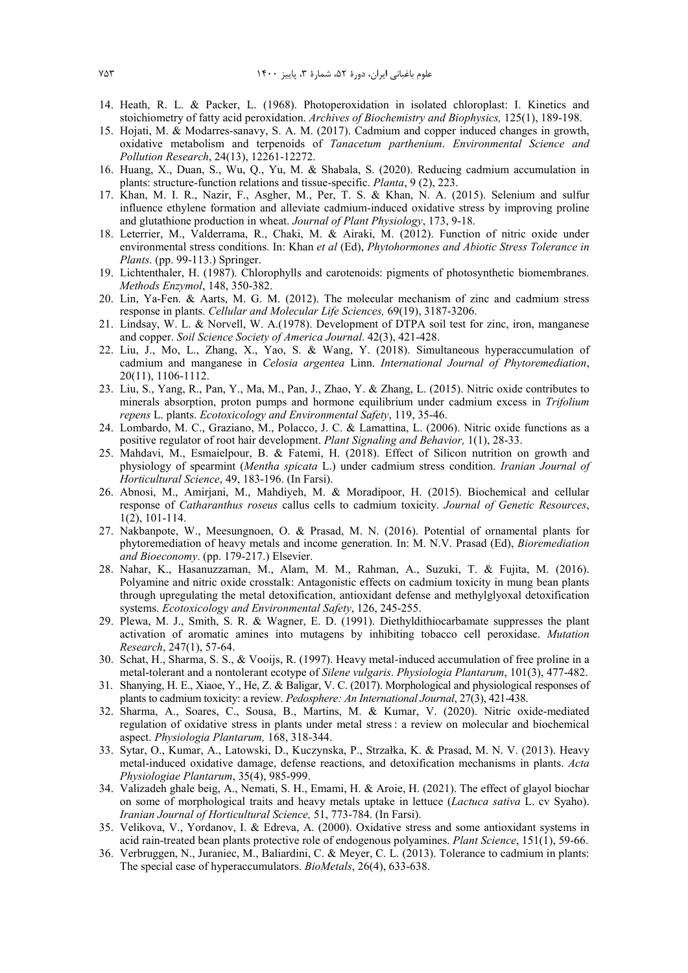- 14. Heath, R. L. & Packer, L. (1968). Photoperoxidation in isolated chloroplast: I. Kinetics and stoichiometry of fatty acid peroxidation. *Archives of Biochemistry and Biophysics,* 125(1), 189-198.
- 15. Hojati, M. & Modarres-sanavy, S. A. M. (2017). Cadmium and copper induced changes in growth, oxidative metabolism and terpenoids of *Tanacetum parthenium*. *Environmental Science and Pollution Research*, 24(13), 12261-12272.
- 16. Huang, X., Duan, S., Wu, Q., Yu, M. & Shabala, S. (2020). Reducing cadmium accumulation in plants: structure-function relations and tissue-specific. *Planta*, 9 (2), 223.
- 17. Khan, M. I. R., Nazir, F., Asgher, M., Per, T. S. & Khan, N. A. (2015). Selenium and sulfur influence ethylene formation and alleviate cadmium-induced oxidative stress by improving proline and glutathione production in wheat. *Journal of Plant Physiology*, 173, 9-18.
- 18. Leterrier, M., Valderrama, R., Chaki, M. & Airaki, M. (2012). Function of nitric oxide under environmental stress conditions. In: Khan *et al* (Ed), *Phytohormones and Abiotic Stress Tolerance in Plants*. (pp. 99-113.) Springer.
- 19. Lichtenthaler, H. (1987). Chlorophylls and carotenoids: pigments of photosynthetic biomembranes. *Methods Enzymol*, 148, 350-382.
- 20. Lin, Ya-Fen. & Aarts, M. G. M. (2012). The molecular mechanism of zinc and cadmium stress response in plants. *Cellular and Molecular Life Sciences,* 69(19), 3187-3206.
- 21. Lindsay, W. L. & Norvell, W. A.(1978). Development of DTPA soil test for zinc, iron, manganese and copper. *Soil Science Society of America Journal*. 42(3), 421-428.
- 22. Liu, J., Mo, L., Zhang, X., Yao, S. & Wang, Y. (2018). Simultaneous hyperaccumulation of cadmium and manganese in *Celosia argentea* Linn. *International Journal of Phytoremediation*, 20(11), 1106-1112.
- 23. Liu, S., Yang, R., Pan, Y., Ma, M., Pan, J., Zhao, Y. & Zhang, L. (2015). Nitric oxide contributes to minerals absorption, proton pumps and hormone equilibrium under cadmium excess in *Trifolium repens* L. plants. *Ecotoxicology and Environmental Safety*, 119, 35-46.
- 24. Lombardo, M. C., Graziano, M., Polacco, J. C. & Lamattina, L. (2006). Nitric oxide functions as a positive regulator of root hair development. *Plant Signaling and Behavior,* 1(1), 28-33.
- 25. Mahdavi, M., Esmaielpour, B. & Fatemi, H. (2018). Effect of Silicon nutrition on growth and physiology of spearmint (*Mentha spicata* L.) under cadmium stress condition. *Iranian Journal of Horticultural Science*, 49, 183-196. (In Farsi).
- 26. Abnosi, M., Amirjani, M., Mahdiyeh, M. & Moradipoor, H. (2015). Biochemical and cellular response of *Catharanthus roseus* callus cells to cadmium toxicity. *Journal of Genetic Resources*, 1(2), 101-114.
- 27. Nakbanpote, W., Meesungnoen, O. & Prasad, M. N. (2016). Potential of ornamental plants for phytoremediation of heavy metals and income generation. In: M. N.V. Prasad (Ed), *Bioremediation and Bioeconomy*. (pp. 179-217.) Elsevier.
- 28. Nahar, K., Hasanuzzaman, M., Alam, M. M., Rahman, A., Suzuki, T. & Fujita, M. (2016). Polyamine and nitric oxide crosstalk: Antagonistic effects on cadmium toxicity in mung bean plants through upregulating the metal detoxification, antioxidant defense and methylglyoxal detoxification systems. *Ecotoxicology and Environmental Safety*, 126, 245-255.
- 29. Plewa, M. J., Smith, S. R. & Wagner, E. D. (1991). Diethyldithiocarbamate suppresses the plant activation of aromatic amines into mutagens by inhibiting tobacco cell peroxidase. *Mutation Research*, 247(1), 57-64.
- 30. Schat, H., Sharma, S. S., & Vooijs, R. (1997). Heavy metal-induced accumulation of free proline in a metal-tolerant and a nontolerant ecotype of *Silene vulgaris*. *Physiologia Plantarum*, 101(3), 477-482.
- 31. Shanying, H. E., Xiaoe, Y., He, Z. & Baligar, V. C. (2017). Morphological and physiological responses of plants to cadmium toxicity: a review. *Pedosphere: An International Journal*, 27(3), 421-438.
- 32. Sharma, A., Soares, C., Sousa, B., Martins, M. & Kumar, V. (2020). Nitric oxide-mediated regulation of oxidative stress in plants under metal stress : a review on molecular and biochemical aspect. *Physiologia Plantarum,* 168, 318-344.
- 33. Sytar, O., Kumar, A., Latowski, D., Kuczynska, P., Strzałka, K. & Prasad, M. N. V. (2013). Heavy metal-induced oxidative damage, defense reactions, and detoxification mechanisms in plants. *Acta Physiologiae Plantarum*, 35(4), 985-999.
- 34. Valizadeh ghale beig, A., Nemati, S. H., Emami, H. & Aroie, H. (2021). The effect of glayol biochar on some of morphological traits and heavy metals uptake in lettuce (*Lactuca sativa* L. cv Syaho) . *Iranian Journal of Horticultural Science,* 51, 773-784. (In Farsi).
- 35. Velikova, V., Yordanov, I. & Edreva, A. (2000). Oxidative stress and some antioxidant systems in acid rain-treated bean plants protective role of endogenous polyamines. *Plant Science*, 151(1), 59-66.
- 36. Verbruggen, N., Juraniec, M., Baliardini, C. & Meyer, C. L. (2013). Tolerance to cadmium in plants: The special case of hyperaccumulators. *BioMetals*, 26(4), 633-638.